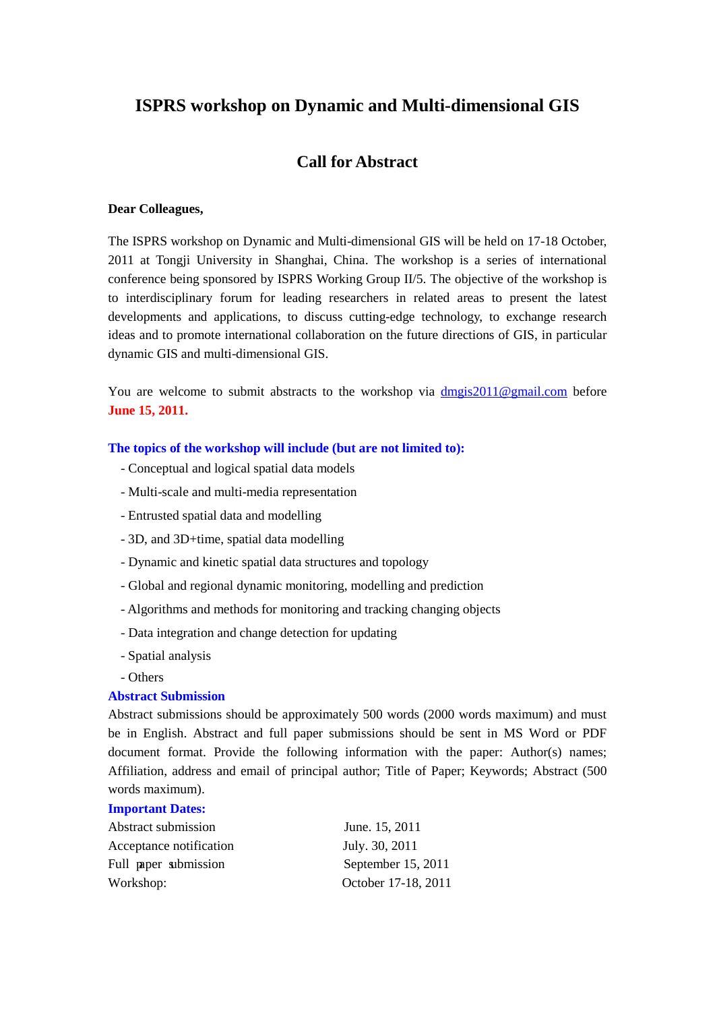# **ISPRS workshop on Dynamic and Multi-dimensional GIS**

# **Call for Abstract**

#### **Dear Colleagues,**

The ISPRS workshop on Dynamic and Multi-dimensional GIS will be held on 17-18 October, 2011 at Tongji University in Shanghai, China. The workshop is a series of international conference being sponsored by ISPRS Working Group II/5. The objective of the workshop is to interdisciplinary forum for leading researchers in related areas to present the latest developments and applications, to discuss cutting-edge technology, to exchange research ideas and to promote international collaboration on the future directions of GIS, in particular dynamic GIS and multi-dimensional GIS.

You are welcome to submit abstracts to the workshop via [dmgis2011@gmail.com](mailto:dmgis2011@gmail.com) before **June 15, 2011.**

#### **The topics of the workshop will include (but are not limited to):**

- Conceptual and logical spatial data models
- Multi-scale and multi-media representation
- Entrusted spatial data and modelling
- 3D, and 3D+time, spatial data modelling
- Dynamic and kinetic spatial data structures and topology
- Global and regional dynamic monitoring, modelling and prediction
- Algorithms and methods for monitoring and tracking changing objects
- Data integration and change detection for updating
- Spatial analysis
- Others

#### **Abstract Submission**

Abstract submissions should be approximately 500 words (2000 words maximum) and must be in English. Abstract and full paper submissions should be sent in MS Word or PDF document format. Provide the following information with the paper: Author(s) names; Affiliation, address and email of principal author; Title of Paper; Keywords; Abstract (500 words maximum).

#### **Important Dates:**

| Abstract submission     | June. 15, 2011      |
|-------------------------|---------------------|
| Acceptance notification | July. 30, 2011      |
| Full paper submission   | September 15, 2011  |
| Workshop:               | October 17-18, 2011 |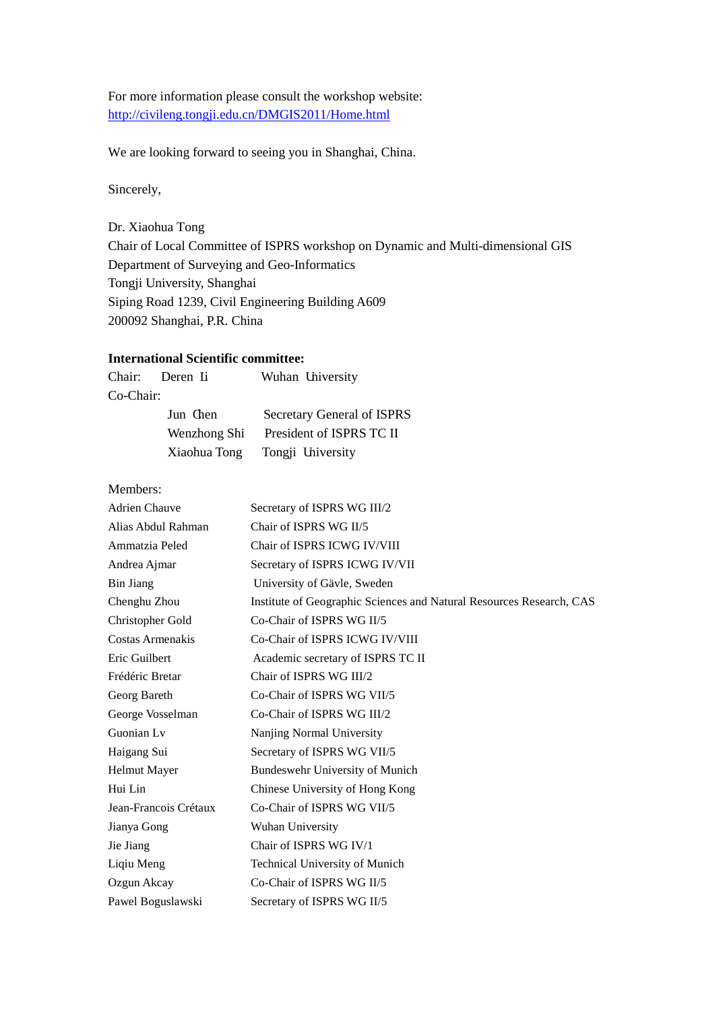For more information please consult the workshop website: <http://civileng.tongji.edu.cn/DMGIS2011/Home.html>

We are looking forward to seeing you in Shanghai, China.

Sincerely,

Dr. Xiaohua Tong Chair of Local Committee of ISPRS workshop on Dynamic and Multi-dimensional GIS Department of Surveying and Geo-Informatics Tongji University, Shanghai Siping Road 1239, Civil Engineering Building A609 200092 Shanghai, P.R. China

### **International Scientific committee:**

|           | Chair: Deren Li | Wuhan University           |
|-----------|-----------------|----------------------------|
| Co-Chair: |                 |                            |
|           | Jun Chen        | Secretary General of ISPRS |
|           | Wenzhong Shi    | President of ISPRS TC II   |
|           | Xiaohua Tong    | Tongji University          |

Members:

| <b>Adrien Chauve</b>  | Secretary of ISPRS WG III/2                                          |
|-----------------------|----------------------------------------------------------------------|
| Alias Abdul Rahman    | Chair of ISPRS WG II/5                                               |
| Ammatzia Peled        | Chair of ISPRS ICWG IV/VIII                                          |
| Andrea Ajmar          | Secretary of ISPRS ICWG IV/VII                                       |
| <b>Bin Jiang</b>      | University of Gävle, Sweden                                          |
| Chenghu Zhou          | Institute of Geographic Sciences and Natural Resources Research, CAS |
| Christopher Gold      | Co-Chair of ISPRS WG II/5                                            |
| Costas Armenakis      | Co-Chair of ISPRS ICWG IV/VIII                                       |
| Eric Guilbert         | Academic secretary of ISPRS TC II                                    |
| Frédéric Bretar       | Chair of ISPRS WG III/2                                              |
| Georg Bareth          | Co-Chair of ISPRS WG VII/5                                           |
| George Vosselman      | Co-Chair of ISPRS WG III/2                                           |
| Guonian Lv            | Nanjing Normal University                                            |
| Haigang Sui           | Secretary of ISPRS WG VII/5                                          |
| Helmut Mayer          | Bundeswehr University of Munich                                      |
| Hui Lin               | Chinese University of Hong Kong                                      |
| Jean-Francois Crétaux | Co-Chair of ISPRS WG VII/5                                           |
| Jianya Gong           | Wuhan University                                                     |
| Jie Jiang             | Chair of ISPRS WG IV/1                                               |
| Liqiu Meng            | <b>Technical University of Munich</b>                                |
| Ozgun Akcay           | Co-Chair of ISPRS WG II/5                                            |
| Pawel Boguslawski     | Secretary of ISPRS WG II/5                                           |